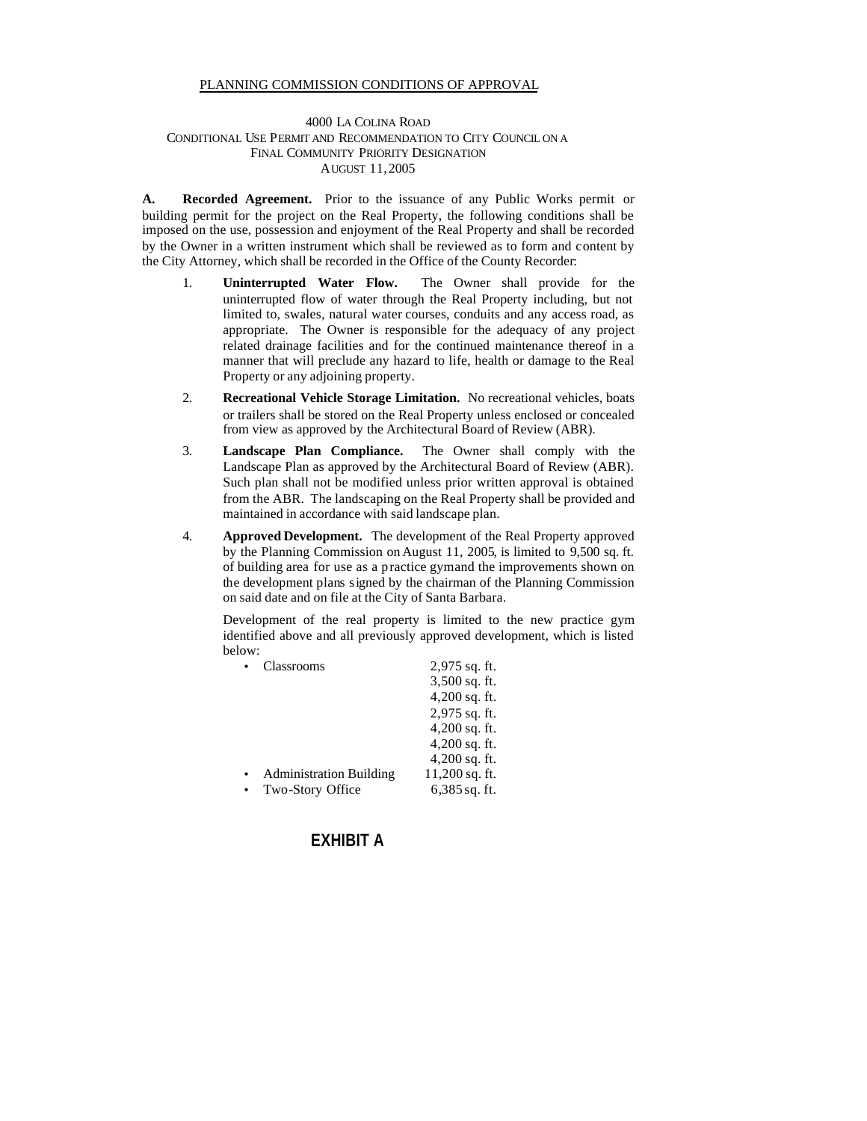## PLANNING COMMISSION CONDITIONS OF APPROVAL

## 4000 LA COLINA ROAD CONDITIONAL USE PERMIT AND RECOMMENDATION TO CITY COUNCIL ON A FINAL COMMUNITY PRIORITY DESIGNATION AUGUST 11,2005

**A. Recorded Agreement.** Prior to the issuance of any Public Works permit or building permit for the project on the Real Property, the following conditions shall be imposed on the use, possession and enjoyment of the Real Property and shall be recorded by the Owner in a written instrument which shall be reviewed as to form and content by the City Attorney, which shall be recorded in the Office of the County Recorder:

- 1. **Uninterrupted Water Flow.** The Owner shall provide for the uninterrupted flow of water through the Real Property including, but not limited to, swales, natural water courses, conduits and any access road, as appropriate. The Owner is responsible for the adequacy of any project related drainage facilities and for the continued maintenance thereof in a manner that will preclude any hazard to life, health or damage to the Real Property or any adjoining property.
- 2. **Recreational Vehicle Storage Limitation.** No recreational vehicles, boats or trailers shall be stored on the Real Property unless enclosed or concealed from view as approved by the Architectural Board of Review (ABR).
- 3. **Landscape Plan Compliance.** The Owner shall comply with the Landscape Plan as approved by the Architectural Board of Review (ABR). Such plan shall not be modified unless prior written approval is obtained from the ABR. The landscaping on the Real Property shall be provided and maintained in accordance with said landscape plan.
- 4. **Approved Development.** The development of the Real Property approved by the Planning Commission on August 11, 2005, is limited to 9,500 sq. ft. of building area for use as a practice gym and the improvements shown on the development plans signed by the chairman of the Planning Commission on said date and on file at the City of Santa Barbara.

Development of the real property is limited to the new practice gym identified above and all previously approved development, which is listed below:

| Classrooms                     | 2,975 sq. ft.   |
|--------------------------------|-----------------|
|                                | 3,500 sq. ft.   |
|                                | $4,200$ sq. ft. |
|                                | 2,975 sq. ft.   |
|                                | $4,200$ sq. ft. |
|                                | $4,200$ sq. ft. |
|                                | $4,200$ sq. ft. |
| <b>Administration Building</b> | 11,200 sq. ft.  |
| Two-Story Office               | $6,385$ sq. ft. |

## **EXHIBIT A**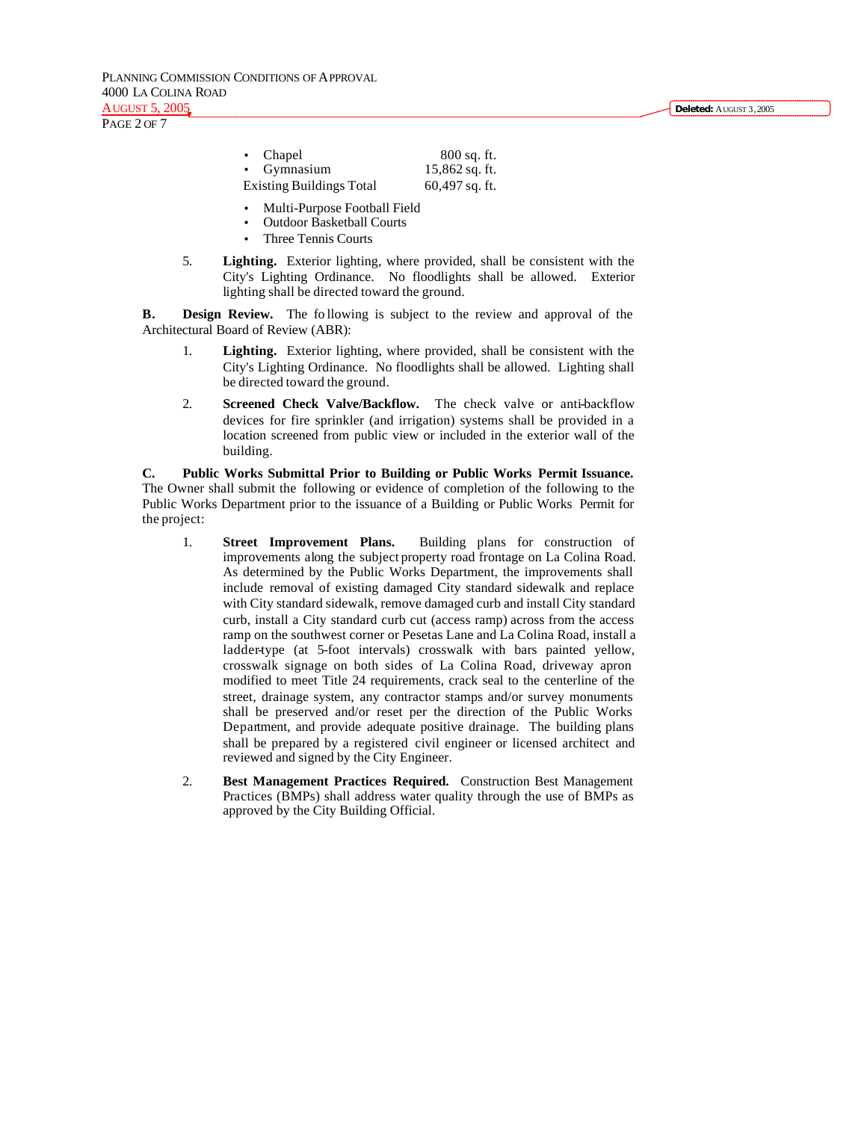PLANNING COMMISSION CONDITIONS OF APPROVAL 4000 LA COLINA ROAD AUGUST 5, 2005

PAGE 2 OF 7

| • Chapel                        | $800$ sq. ft.    |
|---------------------------------|------------------|
| • Gymnasium                     | $15,862$ sq. ft. |
| <b>Existing Buildings Total</b> | $60,497$ sq. ft. |

- Multi-Purpose Football Field
- Outdoor Basketball Courts
- Three Tennis Courts
- 5. **Lighting.** Exterior lighting, where provided, shall be consistent with the City's Lighting Ordinance. No floodlights shall be allowed. Exterior lighting shall be directed toward the ground.

**B. Design Review.** The fo llowing is subject to the review and approval of the Architectural Board of Review (ABR):

- 1. **Lighting.** Exterior lighting, where provided, shall be consistent with the City's Lighting Ordinance. No floodlights shall be allowed. Lighting shall be directed toward the ground.
- 2. **Screened Check Valve/Backflow.** The check valve or anti-backflow devices for fire sprinkler (and irrigation) systems shall be provided in a location screened from public view or included in the exterior wall of the building.

**C. Public Works Submittal Prior to Building or Public Works Permit Issuance.**  The Owner shall submit the following or evidence of completion of the following to the Public Works Department prior to the issuance of a Building or Public Works Permit for the project:

- 1. **Street Improvement Plans.** Building plans for construction of improvements along the subject property road frontage on La Colina Road. As determined by the Public Works Department, the improvements shall include removal of existing damaged City standard sidewalk and replace with City standard sidewalk, remove damaged curb and install City standard curb, install a City standard curb cut (access ramp) across from the access ramp on the southwest corner or Pesetas Lane and La Colina Road, install a ladder-type (at 5-foot intervals) crosswalk with bars painted yellow, crosswalk signage on both sides of La Colina Road, driveway apron modified to meet Title 24 requirements, crack seal to the centerline of the street, drainage system, any contractor stamps and/or survey monuments shall be preserved and/or reset per the direction of the Public Works Department, and provide adequate positive drainage. The building plans shall be prepared by a registered civil engineer or licensed architect and reviewed and signed by the City Engineer.
- 2. **Best Management Practices Required.** Construction Best Management Practices (BMPs) shall address water quality through the use of BMPs as approved by the City Building Official.

**Deleted:** AUGUST 3,2005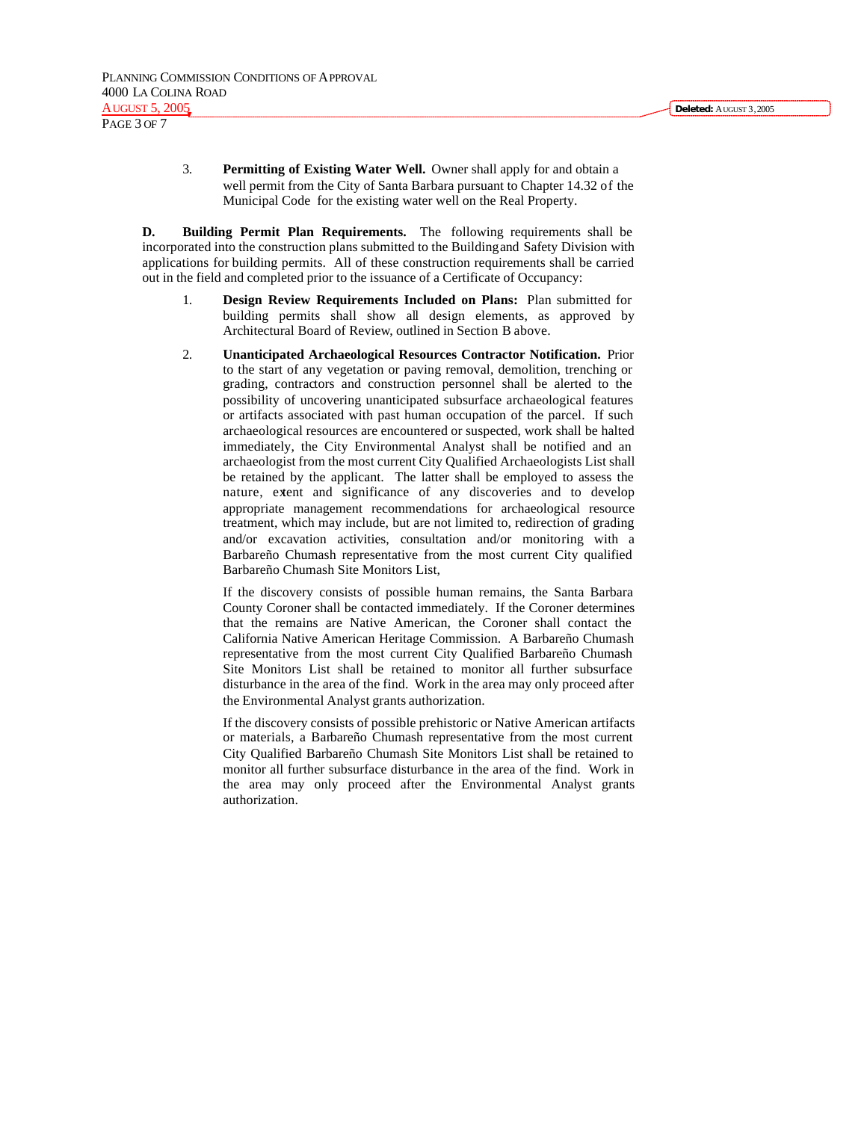3. **Permitting of Existing Water Well.** Owner shall apply for and obtain a well permit from the City of Santa Barbara pursuant to Chapter 14.32 of the Municipal Code for the existing water well on the Real Property.

**D. Building Permit Plan Requirements.** The following requirements shall be incorporated into the construction plans submitted to the Building and Safety Division with applications for building permits. All of these construction requirements shall be carried out in the field and completed prior to the issuance of a Certificate of Occupancy:

- 1. **Design Review Requirements Included on Plans:** Plan submitted for building permits shall show all design elements, as approved by Architectural Board of Review, outlined in Section B above.
- 2. **Unanticipated Archaeological Resources Contractor Notification.** Prior to the start of any vegetation or paving removal, demolition, trenching or grading, contractors and construction personnel shall be alerted to the possibility of uncovering unanticipated subsurface archaeological features or artifacts associated with past human occupation of the parcel. If such archaeological resources are encountered or suspected, work shall be halted immediately, the City Environmental Analyst shall be notified and an archaeologist from the most current City Qualified Archaeologists List shall be retained by the applicant. The latter shall be employed to assess the nature, extent and significance of any discoveries and to develop appropriate management recommendations for archaeological resource treatment, which may include, but are not limited to, redirection of grading and/or excavation activities, consultation and/or monitoring with a Barbareño Chumash representative from the most current City qualified Barbareño Chumash Site Monitors List,

If the discovery consists of possible human remains, the Santa Barbara County Coroner shall be contacted immediately. If the Coroner determines that the remains are Native American, the Coroner shall contact the California Native American Heritage Commission. A Barbareño Chumash representative from the most current City Qualified Barbareño Chumash Site Monitors List shall be retained to monitor all further subsurface disturbance in the area of the find. Work in the area may only proceed after the Environmental Analyst grants authorization.

If the discovery consists of possible prehistoric or Native American artifacts or materials, a Barbareño Chumash representative from the most current City Qualified Barbareño Chumash Site Monitors List shall be retained to monitor all further subsurface disturbance in the area of the find. Work in the area may only proceed after the Environmental Analyst grants authorization.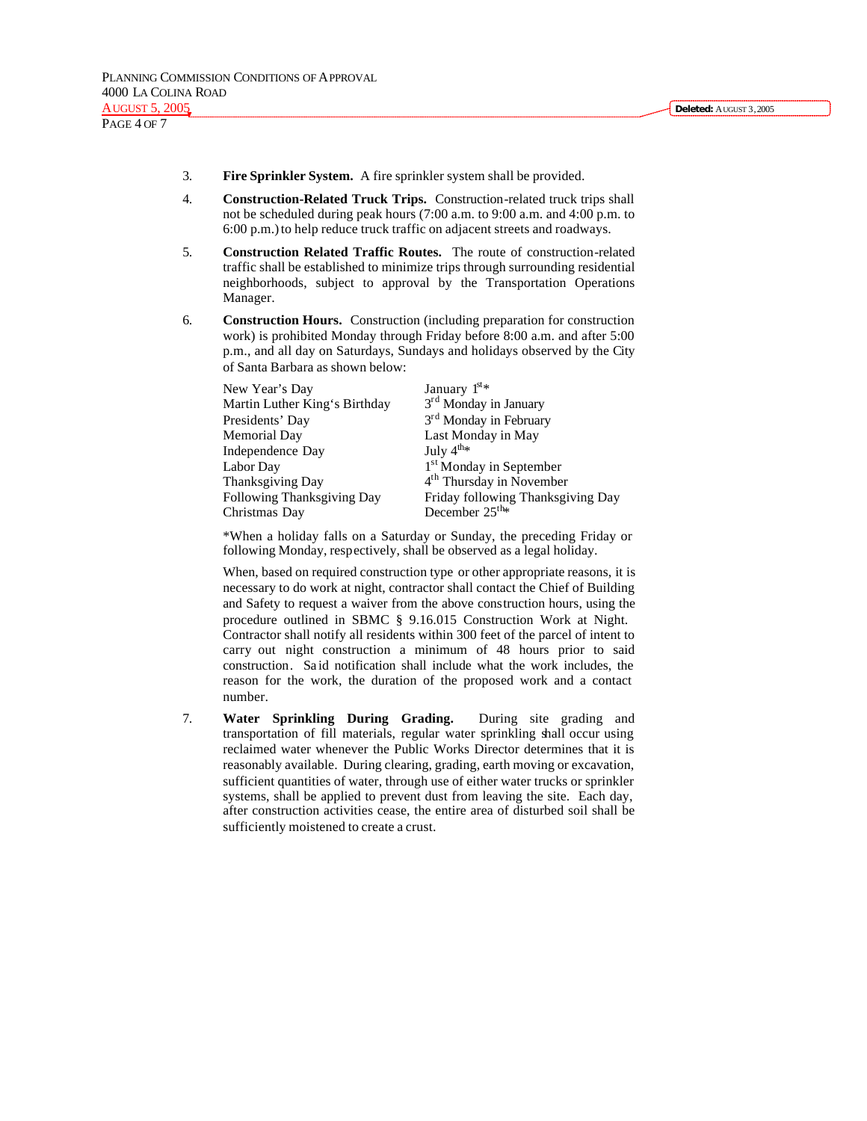- 3. **Fire Sprinkler System.** A fire sprinkler system shall be provided.
- 4. **Construction-Related Truck Trips.** Construction-related truck trips shall not be scheduled during peak hours (7:00 a.m. to 9:00 a.m. and 4:00 p.m. to 6:00 p.m.) to help reduce truck traffic on adjacent streets and roadways.
- 5. **Construction Related Traffic Routes.** The route of construction-related traffic shall be established to minimize trips through surrounding residential neighborhoods, subject to approval by the Transportation Operations Manager.
- 6. **Construction Hours.** Construction (including preparation for construction work) is prohibited Monday through Friday before 8:00 a.m. and after 5:00 p.m., and all day on Saturdays, Sundays and holidays observed by the City of Santa Barbara as shown below:

| New Year's Day                | January $1^{st*}$                    |
|-------------------------------|--------------------------------------|
| Martin Luther King's Birthday | 3 <sup>rd</sup> Monday in January    |
| Presidents' Day               | 3 <sup>rd</sup> Monday in February   |
| Memorial Day                  | Last Monday in May                   |
| Independence Day              | July $4^{\text{th}_{\text{*}}}$      |
| Labor Day                     | 1 <sup>st</sup> Monday in September  |
| Thanksgiving Day              | 4 <sup>th</sup> Thursday in November |
| Following Thanksgiving Day    | Friday following Thanksgiving Day    |
| Christmas Day                 | December 25 <sup>th</sup> *          |

\*When a holiday falls on a Saturday or Sunday, the preceding Friday or following Monday, respectively, shall be observed as a legal holiday.

When, based on required construction type or other appropriate reasons, it is necessary to do work at night, contractor shall contact the Chief of Building and Safety to request a waiver from the above construction hours, using the procedure outlined in SBMC § 9.16.015 Construction Work at Night. Contractor shall notify all residents within 300 feet of the parcel of intent to carry out night construction a minimum of 48 hours prior to said construction. Sa id notification shall include what the work includes, the reason for the work, the duration of the proposed work and a contact number.

7. **Water Sprinkling During Grading.** During site grading and transportation of fill materials, regular water sprinkling shall occur using reclaimed water whenever the Public Works Director determines that it is reasonably available. During clearing, grading, earth moving or excavation, sufficient quantities of water, through use of either water trucks or sprinkler systems, shall be applied to prevent dust from leaving the site. Each day, after construction activities cease, the entire area of disturbed soil shall be sufficiently moistened to create a crust.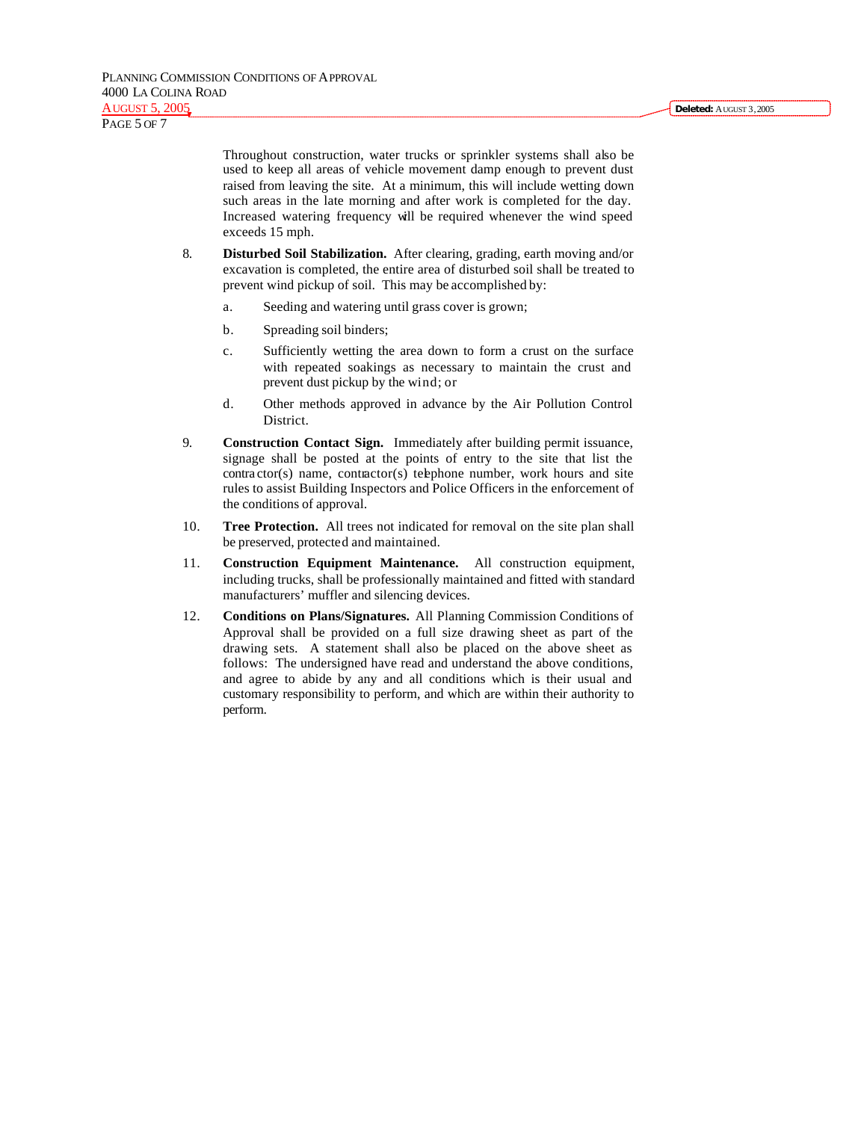PAGE 5 OF 7

Throughout construction, water trucks or sprinkler systems shall also be used to keep all areas of vehicle movement damp enough to prevent dust raised from leaving the site. At a minimum, this will include wetting down such areas in the late morning and after work is completed for the day. Increased watering frequency will be required whenever the wind speed exceeds 15 mph.

- 8. **Disturbed Soil Stabilization.** After clearing, grading, earth moving and/or excavation is completed, the entire area of disturbed soil shall be treated to prevent wind pickup of soil. This may be accomplished by:
	- a. Seeding and watering until grass cover is grown;
	- b. Spreading soil binders;
	- c. Sufficiently wetting the area down to form a crust on the surface with repeated soakings as necessary to maintain the crust and prevent dust pickup by the wind; or
	- d. Other methods approved in advance by the Air Pollution Control District.
- 9. **Construction Contact Sign.** Immediately after building permit issuance, signage shall be posted at the points of entry to the site that list the contra ctor(s) name, contractor(s) telephone number, work hours and site rules to assist Building Inspectors and Police Officers in the enforcement of the conditions of approval.
- 10. **Tree Protection.** All trees not indicated for removal on the site plan shall be preserved, protected and maintained.
- 11. **Construction Equipment Maintenance.** All construction equipment, including trucks, shall be professionally maintained and fitted with standard manufacturers' muffler and silencing devices.
- 12. **Conditions on Plans/Signatures.** All Planning Commission Conditions of Approval shall be provided on a full size drawing sheet as part of the drawing sets. A statement shall also be placed on the above sheet as follows: The undersigned have read and understand the above conditions, and agree to abide by any and all conditions which is their usual and customary responsibility to perform, and which are within their authority to perform.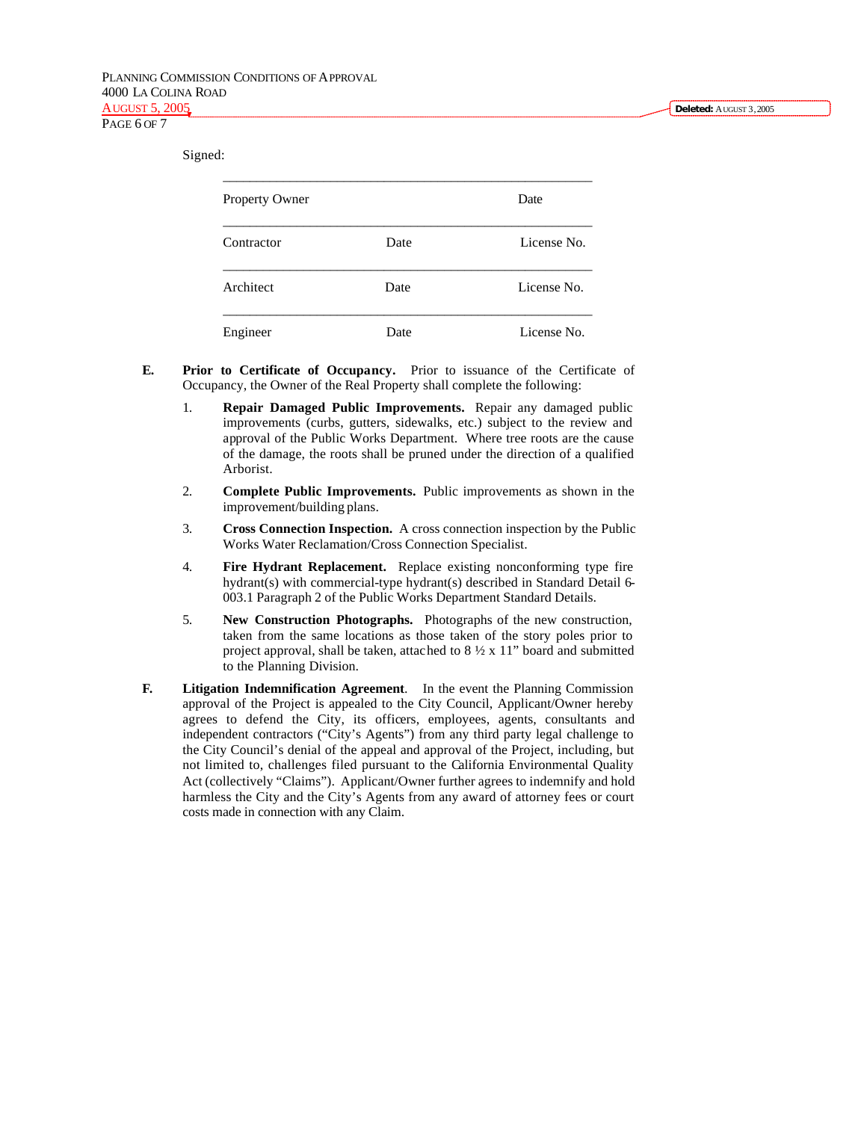Signed:

| <b>Property Owner</b> |      | Date        |
|-----------------------|------|-------------|
| Contractor            | Date | License No. |
| Architect             | Date | License No. |
| Engineer              | Date | License No. |

- **E. Prior to Certificate of Occupancy.** Prior to issuance of the Certificate of Occupancy, the Owner of the Real Property shall complete the following:
	- 1. **Repair Damaged Public Improvements.** Repair any damaged public improvements (curbs, gutters, sidewalks, etc.) subject to the review and approval of the Public Works Department. Where tree roots are the cause of the damage, the roots shall be pruned under the direction of a qualified Arborist.
	- 2. **Complete Public Improvements.** Public improvements as shown in the improvement/building plans.
	- 3. **Cross Connection Inspection.** A cross connection inspection by the Public Works Water Reclamation/Cross Connection Specialist.
	- 4. **Fire Hydrant Replacement.** Replace existing nonconforming type fire hydrant(s) with commercial-type hydrant(s) described in Standard Detail 6- 003.1 Paragraph 2 of the Public Works Department Standard Details.
	- 5. **New Construction Photographs.** Photographs of the new construction, taken from the same locations as those taken of the story poles prior to project approval, shall be taken, attached to 8 ½ x 11" board and submitted to the Planning Division.
- **F. Litigation Indemnification Agreement**. In the event the Planning Commission approval of the Project is appealed to the City Council, Applicant/Owner hereby agrees to defend the City, its officers, employees, agents, consultants and independent contractors ("City's Agents") from any third party legal challenge to the City Council's denial of the appeal and approval of the Project, including, but not limited to, challenges filed pursuant to the California Environmental Quality Act (collectively "Claims"). Applicant/Owner further agrees to indemnify and hold harmless the City and the City's Agents from any award of attorney fees or court costs made in connection with any Claim.